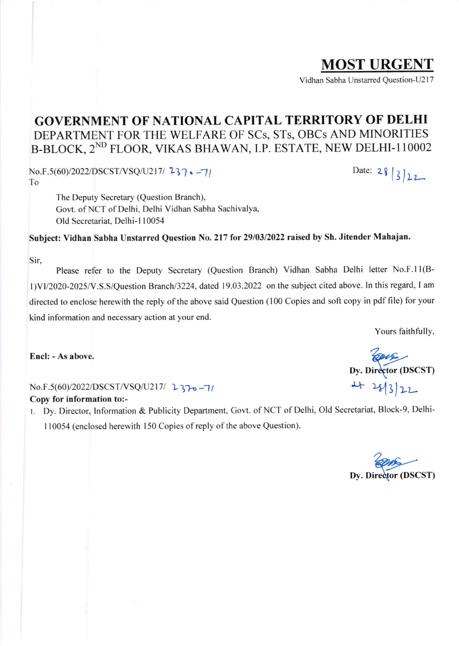### GOVERNMENT OF NATIONAL CAPITAL TERRITORY OF DELHI DEPARTMENT FOR THE WELFARE OF SCS, STS, OBCS AND MINORITIES B-BLOCK, 2<sup>ND</sup> FLOOR, VIKAS BHAWAN, I.P. ESTATE, NEW DELHI-110002

No.F.5(60)/2022/DSCST/VSQ/U217/ 237. -7/<br>To

The Deputy Secretary (Question Branch), Gort. of NCT of Delhi, Delhi Vidhan Sabha Sachivalya, Old Secretariat. Delhi-l 10054

Subject: Vidhan Sabha Unstarred Question No.2l7 for 29103/2022 raised by Sh. Jitender Mahajan.

Sir,

Please refer to the Deputy Secretary (Question Branch) Vidhan Sabha Delhi letter No.F.ll(Bl)V112020-2025N.S.S/Question Branch/3224, dated 19.03.2022 on the subject cited above. ln this regard, I am directed to enclose herewith the reply of the above said Question (100 Copies and soft copy in pdf file) for your kind information and necessary action at your end.

Yours faithfully,

 $22$ 

*DUE*<br>Dy. Director (DSCST)

 $+ 2813$ 

Encl: - As above.

 $No.F.5(60)/2022/DSCST/VSQ/U217/2370 - 7/$ Copy for information to:-

1. Dy. Director, Information & Publicity Department, Govt. of NCT of Delhi, Old Secretariat, Block-9, Delhi-110054 (enclosed herewith 150 Copies of reply of the above Question).

**EVICE**<br>Dy. Director (DSCST)



MOST URGENT

Vidhan Sabha Unstarred Ouestion-U217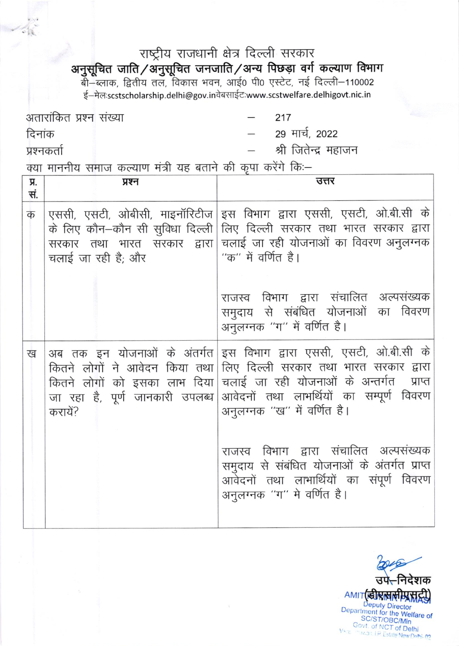## राष्ट्रीय राजधानी क्षेत्र दिल्ली सरकार

# अनुसूचित जाति/अनुसूचित जनजाति/अन्य पिछड़ा वर्ग कल्याण विभाग<br>बी–ब्लाक, द्वितीय तल, विकास भवन, आई0 पी0 एस्टेट, नई दिल्ली–110002

ई-मेल:scstscholarship.delhi@gov.inवेबसाईट:www.scstwelfare.delhigovt.nic.in

अतारांकित प्रश्न संख्या 217 29 मार्च, 2022 दिनांक श्री जितेन्द्र महाजन प्रश्नकर्ता क्या माननीय समाज कल्याण मंत्री यह बताने की कृपा करेंगे कि:-

| Я.<br>सं. | प्रश्न                                                                      | उत्तर                                                                                                                                                                                                                                                                                                                                                                                                                                  |
|-----------|-----------------------------------------------------------------------------|----------------------------------------------------------------------------------------------------------------------------------------------------------------------------------------------------------------------------------------------------------------------------------------------------------------------------------------------------------------------------------------------------------------------------------------|
| क         | सरकार तथा भारत सरकार द्वारा <br>चलाई जा रही है; और                          | एससी, एसटी, ओबीसी, माइनॉरिटीज इस विभाग द्वारा एससी, एसटी, ओ.बी.सी के<br>के लिए कौन–कौन सी सुविधा दिल्ली लिए दिल्ली सरकार तथा भारत सरकार द्वारा<br>चलाई जा रही योजनाओं का विवरण अनुलग्नक<br>''क'' में वर्णित है।<br>राजस्व विभाग द्वारा संचालित अल्पसंख्यक<br>समुदाय से संबंधित योजनाओं का विवरण<br>अनुलग्नक "ग" में वर्णित है।                                                                                                         |
| ख         | कितने लोगों ने आवेदन किया तथा<br>जा रहा है, पूर्ण जानकारी उपलब्ध<br>करायें? | अब तक इन योजनाओं के अंतर्गत इस विभाग द्वारा एससी, एसटी, ओ.बी.सी के<br>लिए दिल्ली सरकार तथा भारत सरकार द्वारा<br>कितने लोगों को इसका लाभ दिया चलाई जा रही योजनाओं के अन्तर्गत प्राप्त<br>आवेदनों तथा लाभर्थियों का सम्पूर्ण विवरण<br>अनुलग्नक ''ख'' में वर्णित है।<br>राजस्व विभाग द्वारा संचालित अल्पसंख्यक<br>समुदाय से संबंधित योजनाओं के अंतर्गत प्राप्त <br>आवेदनों तथा लाभार्थियों का संपूर्ण विवरण<br>अनुलग्नक "ग" मे वर्णित है। |
|           |                                                                             |                                                                                                                                                                                                                                                                                                                                                                                                                                        |